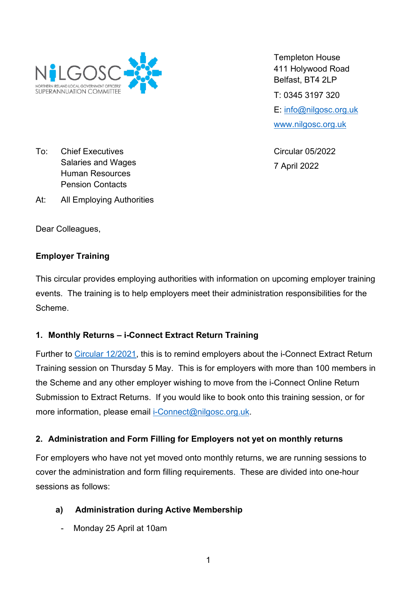

To: Chief Executives Salaries and Wages Human Resources Pension Contacts

At: All Employing Authorities

Dear Colleagues,

## **Employer Training**

This circular provides employing authorities with information on upcoming employer training events. The training is to help employers meet their administration responsibilities for the Scheme.

## **1. Monthly Returns – i-Connect Extract Return Training**

Further to [Circular 12/2021,](https://nilgosc.org.uk/wp-content/uploads/2021/12/bg-a-Circular-12.2021-Monthly-returns-to-NILGOSC-information-training-and-roll-out-schedule.pdf) this is to remind employers about the i-Connect Extract Return Training session on Thursday 5 May. This is for employers with more than 100 members in the Scheme and any other employer wishing to move from the i-Connect Online Return Submission to Extract Returns. If you would like to book onto this training session, or for more information, please email [i-Connect@nilgosc.org.uk.](mailto:i-Connect@nilgosc.org.uk)

## **2. Administration and Form Filling for Employers not yet on monthly returns**

For employers who have not yet moved onto monthly returns, we are running sessions to cover the administration and form filling requirements. These are divided into one-hour sessions as follows:

## **a) Administration during Active Membership**

- Monday 25 April at 10am

Templeton House 411 Holywood Road Belfast, BT4 2LP T: 0345 3197 320 E: [info@nilgosc.org.uk](mailto:info@nilgosc.org.uk) [www.nilgosc.org.uk](http://www.nilgosc.org.uk/)

Circular 05/2022 7 April 2022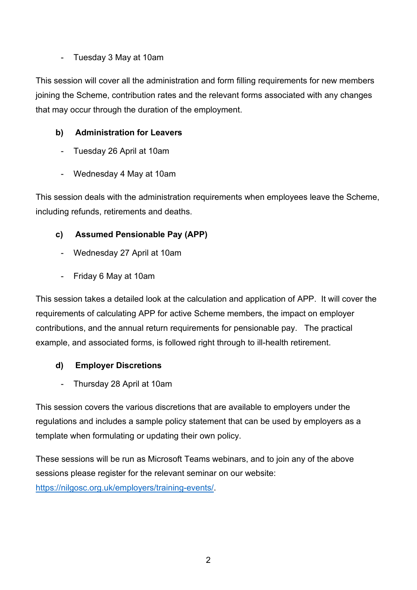## - Tuesday 3 May at 10am

This session will cover all the administration and form filling requirements for new members joining the Scheme, contribution rates and the relevant forms associated with any changes that may occur through the duration of the employment.

# **b) Administration for Leavers**

- Tuesday 26 April at 10am
- Wednesday 4 May at 10am

This session deals with the administration requirements when employees leave the Scheme, including refunds, retirements and deaths.

# **c) Assumed Pensionable Pay (APP)**

- Wednesday 27 April at 10am
- Friday 6 May at 10am

This session takes a detailed look at the calculation and application of APP. It will cover the requirements of calculating APP for active Scheme members, the impact on employer contributions, and the annual return requirements for pensionable pay. The practical example, and associated forms, is followed right through to ill-health retirement.

# **d) Employer Discretions**

- Thursday 28 April at 10am

This session covers the various discretions that are available to employers under the regulations and includes a sample policy statement that can be used by employers as a template when formulating or updating their own policy.

These sessions will be run as Microsoft Teams webinars, and to join any of the above sessions please register for the relevant seminar on our website: [https://nilgosc.org.uk/employers/training-events/.](https://nilgosc.org.uk/employers/training-events/)